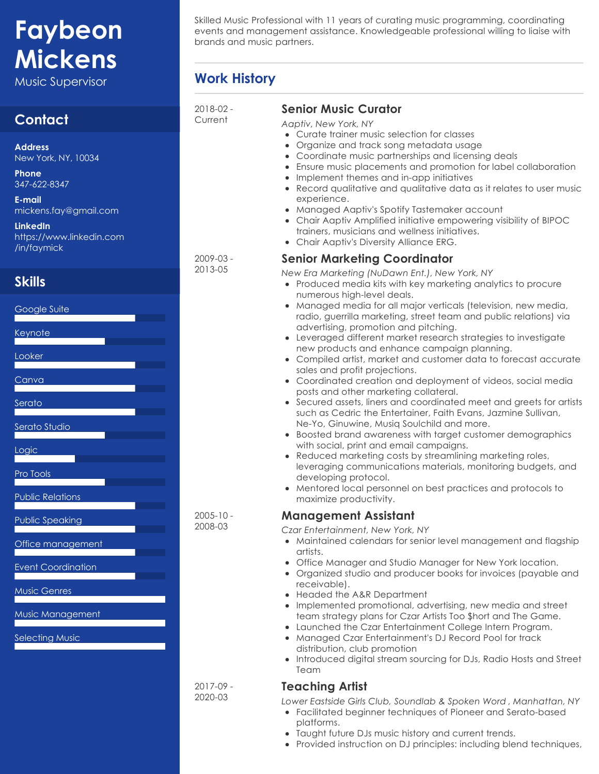# **Faybeon Mickens**

Music Supervisor **Work History**

# **Contact**

**Address** New York, NY, 10034

**Phone** 347-622-8347

**E-mail** mickens.fay@gmail.com

**LinkedIn** https://www.linkedin.com /in/faymick

# **Skills**



Skilled Music Professional with 11 years of curating music programming, coordinating events and management assistance. Knowledgeable professional willing to liaise with brands and music partners.

| 2018-02 -<br>Current     | Senic<br>Aaptiv<br>Cur<br>$\bullet$<br>Org<br>$\bullet$<br>Co<br>۰<br>Ens<br>$\bullet$<br>Imp<br>$\bullet$                                  |
|--------------------------|---------------------------------------------------------------------------------------------------------------------------------------------|
| 2009-03 -<br>2013-05     | Rec<br>$\bullet$<br>exp<br>Ma<br>٠<br>Ch<br>$\bullet$<br>trai<br>Ch<br>$\bullet$<br>Senic<br>New Er<br>Pro<br>$\bullet$<br>nur<br>Ma<br>rad |
|                          | ad <sup>®</sup><br>Lev<br>$\bullet$<br>ney<br>Col<br>sale<br>Co<br>$\bullet$<br>pos<br>Sec<br>$\bullet$<br>suc<br>Ne-                       |
| $2005 - 10 -$<br>2008-03 | Boc<br>witl<br>Rec<br>$\bullet$<br>lev<br>de <sup></sup><br>Me<br>ma<br>Mano                                                                |
|                          | Czar Ei<br>Ma<br>arti<br>Off<br>Org<br>rec<br>Hed<br>Imp<br>tea<br>Lau<br>Ma<br>$\bullet$                                                   |
| 2017-09 -                | dist<br>Intr<br>Tec<br>Teac                                                                                                                 |

2020-03

#### **Senior Music Curator**

*Aaptiv, New York, NY*

- rate trainer music selection for classes
- ganize and track song metadata usage
- ordinate music partnerships and licensing deals
- ure music placements and promotion for label collaboration
- blement themes and in-app initiatives
- cord qualitative and qualitative data as it relates to user music berience.
- Managed Aaptiv's Spotify Tastemaker account
- air Aaptiv Amplified initiative empowering visibility of BIPOC ners, musicians and wellness initiatives.
- air Aaptiv's Diversity Alliance ERG.

### **Senior Marketing Coordinator**

*New Era Marketing (NuDawn Ent.), New York, NY*

- duced media kits with key marketing analytics to procure nerous high-level deals.
- Inaged media for all major verticals (television, new media, lio, guerrilla marketing, street team and public relations) via vertising, promotion and pitching.
- eraged different market research strategies to investigate w products and enhance campaign planning.
- mpiled artist, market and customer data to forecast accurate es and profit projections.
- ordinated creation and deployment of videos, social media its and other marketing collateral.
- cured assets, liners and coordinated meet and greets for artists h as Cedric the Entertainer, Faith Evans, Jazmine Sullivan, Yo, Ginuwine, Musiq Soulchild and more.
- osted brand awareness with target customer demographics h social, print and email campaigns.
- duced marketing costs by streamlining marketing roles, eraging communications materials, monitoring budgets, and veloping protocol.
- ntored local personnel on best practices and protocols to iximize productivity.

### **Management Assistant**

*Czar Entertainment, New York, NY*

- intained calendars for senior level management and flagship ists.
- ice Manager and Studio Manager for New York location.
- ganized studio and producer books for invoices (payable and eivable).
- aded the A&R Department
- Implemented promotional, advertising, new media and street m strategy plans for Czar Artists Too \$hort and The Game.
- Inched the Czar Entertainment College Intern Program. Inaged Czar Entertainment's DJ Record Pool for track
- tribution, club promotion
- oduced digital stream sourcing for DJs, Radio Hosts and Street 1m

## **Teaching Artist**

*Lower Eastside Girls Club, Soundlab & Spoken Word , Manhattan, NY*

- Facilitated beginner techniques of Pioneer and Serato-based platforms.
- Taught future DJs music history and current trends.  $\bullet$
- Provided instruction on DJ principles: including blend techniques,